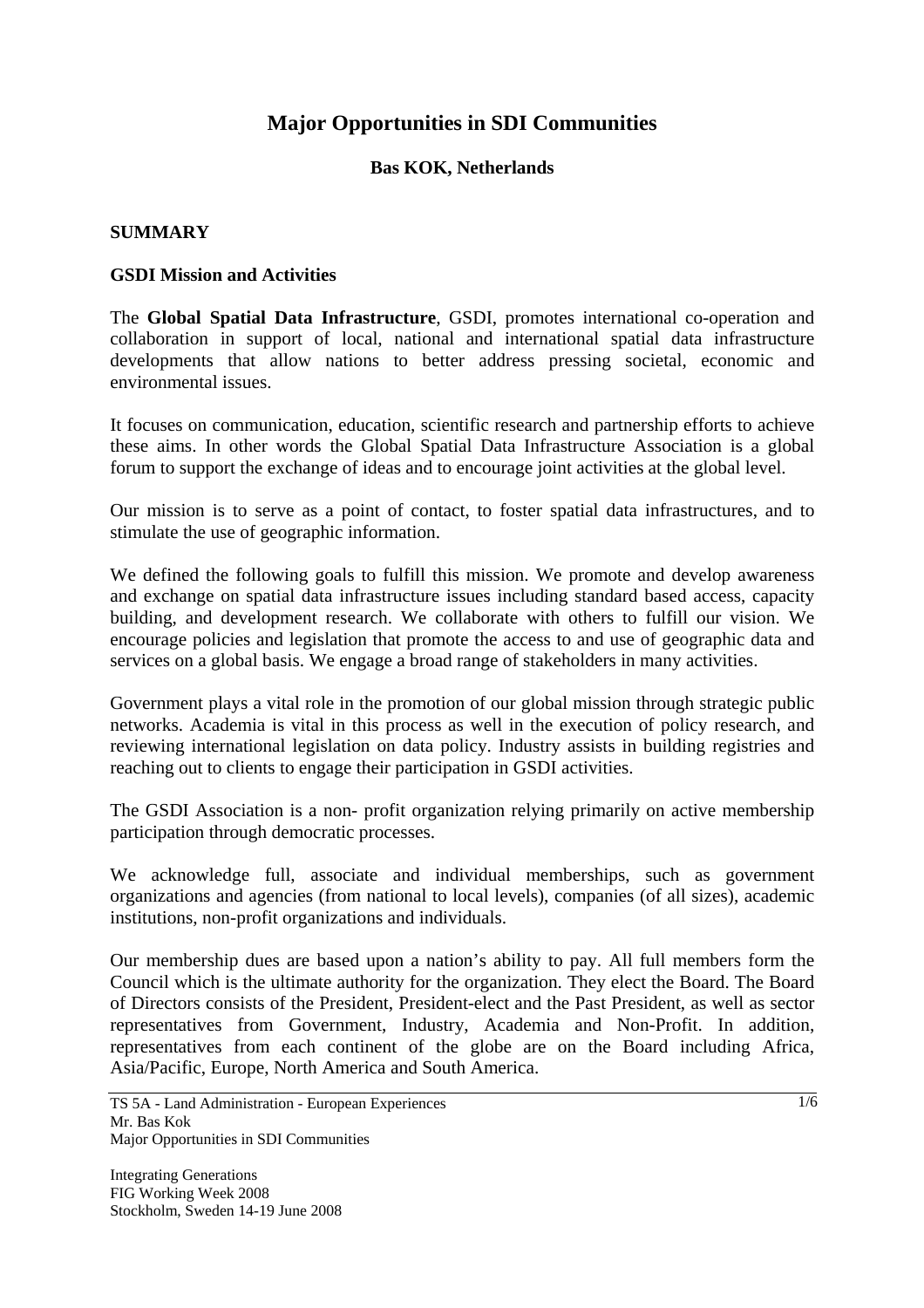# **Major Opportunities in SDI Communities**

## **Bas KOK, Netherlands**

#### **SUMMARY**

#### **GSDI Mission and Activities**

The **Global Spatial Data Infrastructure**, GSDI, promotes international co-operation and collaboration in support of local, national and international spatial data infrastructure developments that allow nations to better address pressing societal, economic and environmental issues.

It focuses on communication, education, scientific research and partnership efforts to achieve these aims. In other words the Global Spatial Data Infrastructure Association is a global forum to support the exchange of ideas and to encourage joint activities at the global level.

Our mission is to serve as a point of contact, to foster spatial data infrastructures, and to stimulate the use of geographic information.

We defined the following goals to fulfill this mission. We promote and develop awareness and exchange on spatial data infrastructure issues including standard based access, capacity building, and development research. We collaborate with others to fulfill our vision. We encourage policies and legislation that promote the access to and use of geographic data and services on a global basis. We engage a broad range of stakeholders in many activities.

Government plays a vital role in the promotion of our global mission through strategic public networks. Academia is vital in this process as well in the execution of policy research, and reviewing international legislation on data policy. Industry assists in building registries and reaching out to clients to engage their participation in GSDI activities.

The GSDI Association is a non- profit organization relying primarily on active membership participation through democratic processes.

We acknowledge full, associate and individual memberships, such as government organizations and agencies (from national to local levels), companies (of all sizes), academic institutions, non-profit organizations and individuals.

Our membership dues are based upon a nation's ability to pay. All full members form the Council which is the ultimate authority for the organization. They elect the Board. The Board of Directors consists of the President, President-elect and the Past President, as well as sector representatives from Government, Industry, Academia and Non-Profit. In addition, representatives from each continent of the globe are on the Board including Africa, Asia/Pacific, Europe, North America and South America.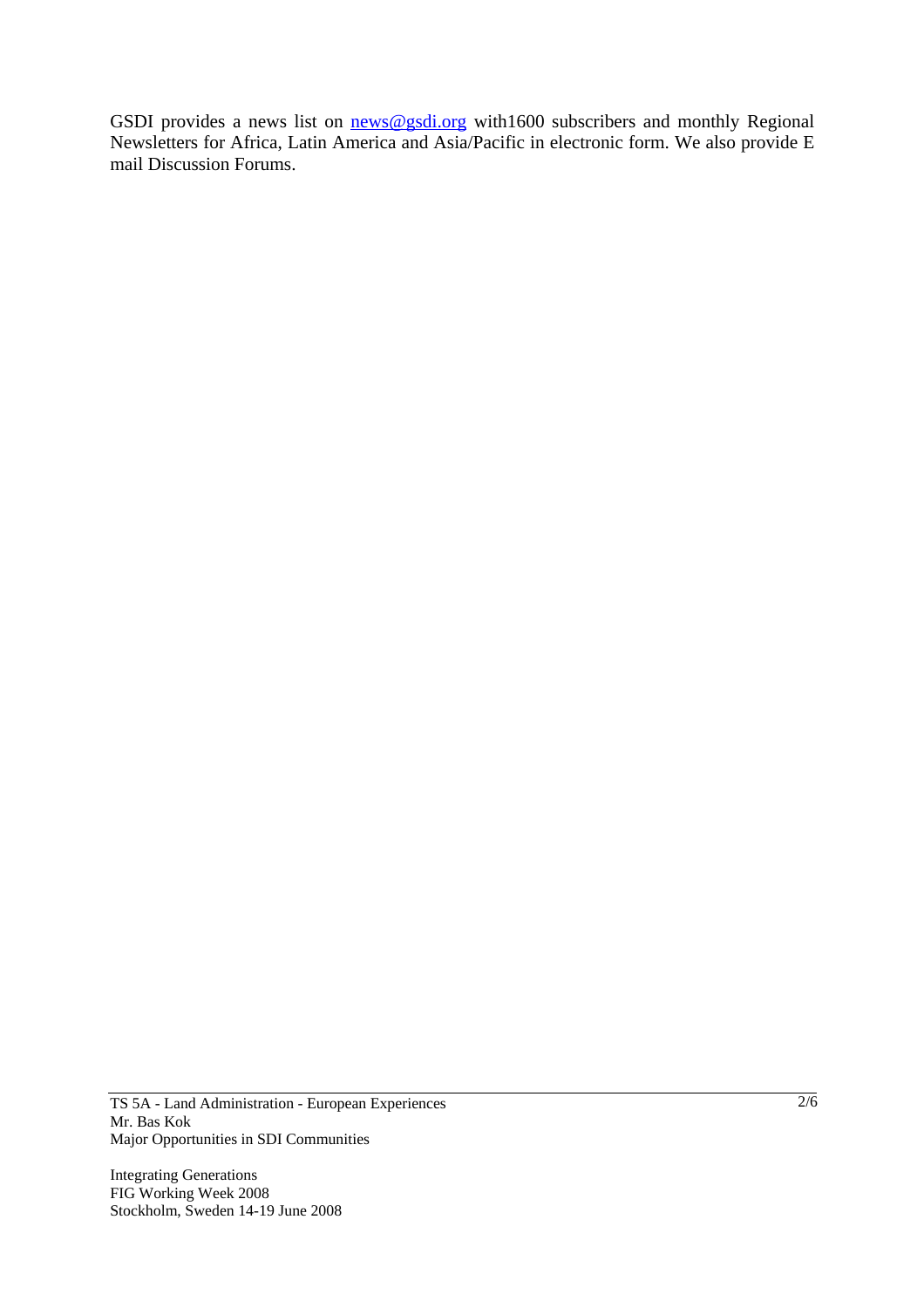GSDI provides a news list on news@gsdi.org with1600 subscribers and monthly Regional Newsletters for Africa, Latin America and Asia/Pacific in electronic form. We also provide E mail Discussion Forums.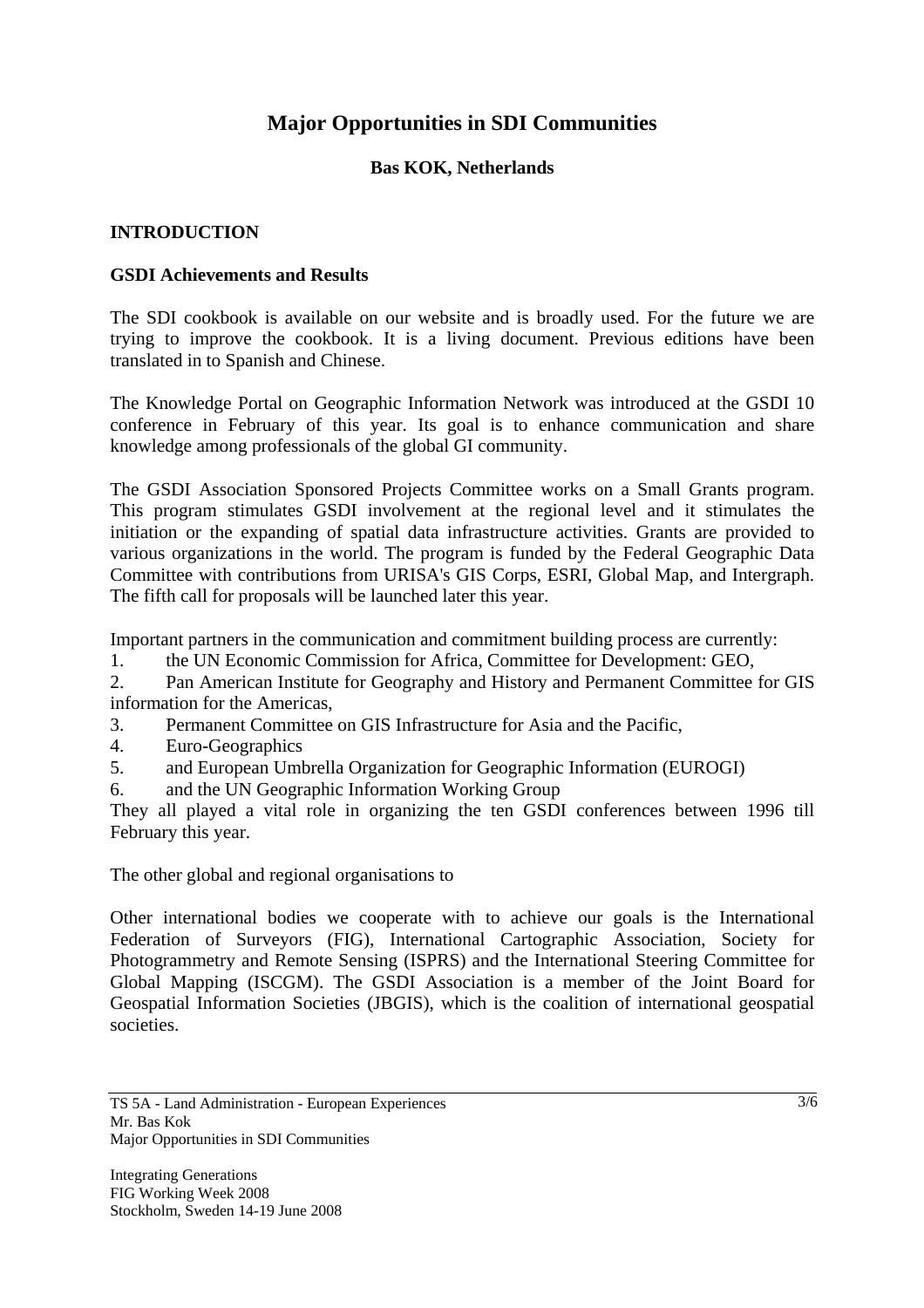# **Major Opportunities in SDI Communities**

# **Bas KOK, Netherlands**

#### **INTRODUCTION**

#### **GSDI Achievements and Results**

The SDI cookbook is available on our website and is broadly used. For the future we are trying to improve the cookbook. It is a living document. Previous editions have been translated in to Spanish and Chinese.

The Knowledge Portal on Geographic Information Network was introduced at the GSDI 10 conference in February of this year. Its goal is to enhance communication and share knowledge among professionals of the global GI community.

The GSDI Association Sponsored Projects Committee works on a Small Grants program. This program stimulates GSDI involvement at the regional level and it stimulates the initiation or the expanding of spatial data infrastructure activities. Grants are provided to various organizations in the world. The program is funded by the Federal Geographic Data Committee with contributions from URISA's GIS Corps, ESRI, Global Map, and Intergraph. The fifth call for proposals will be launched later this year.

Important partners in the communication and commitment building process are currently:

1. the UN Economic Commission for Africa, Committee for Development: GEO,

2. Pan American Institute for Geography and History and Permanent Committee for GIS information for the Americas,

3. Permanent Committee on GIS Infrastructure for Asia and the Pacific,

- 4. Euro-Geographics
- 5. and European Umbrella Organization for Geographic Information (EUROGI)
- 6. and the UN Geographic Information Working Group

They all played a vital role in organizing the ten GSDI conferences between 1996 till February this year.

The other global and regional organisations to

Other international bodies we cooperate with to achieve our goals is the International Federation of Surveyors (FIG), International Cartographic Association, Society for Photogrammetry and Remote Sensing (ISPRS) and the International Steering Committee for Global Mapping (ISCGM). The GSDI Association is a member of the Joint Board for Geospatial Information Societies (JBGIS), which is the coalition of international geospatial societies.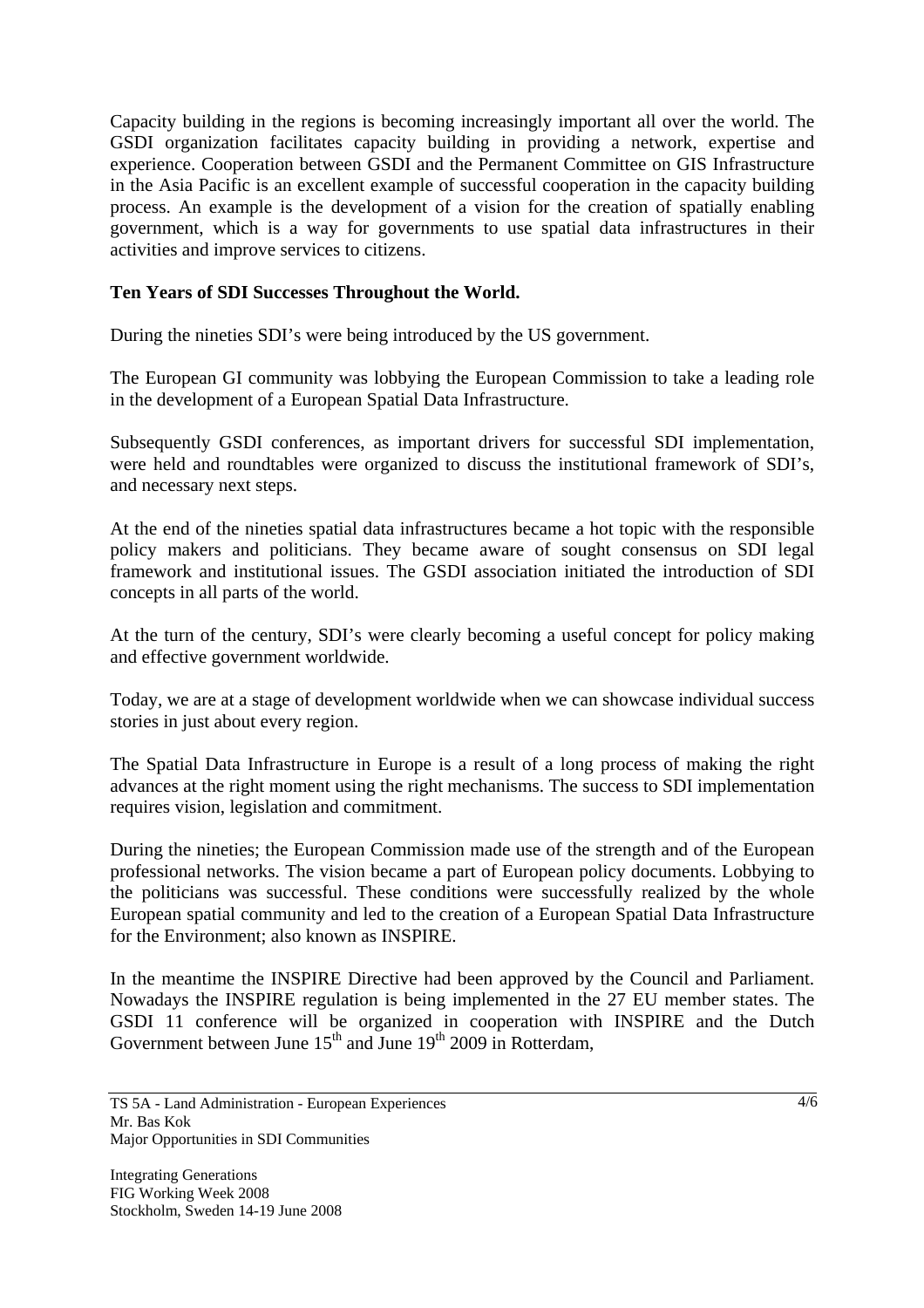Capacity building in the regions is becoming increasingly important all over the world. The GSDI organization facilitates capacity building in providing a network, expertise and experience. Cooperation between GSDI and the Permanent Committee on GIS Infrastructure in the Asia Pacific is an excellent example of successful cooperation in the capacity building process. An example is the development of a vision for the creation of spatially enabling government, which is a way for governments to use spatial data infrastructures in their activities and improve services to citizens.

# **Ten Years of SDI Successes Throughout the World.**

During the nineties SDI's were being introduced by the US government.

The European GI community was lobbying the European Commission to take a leading role in the development of a European Spatial Data Infrastructure.

Subsequently GSDI conferences, as important drivers for successful SDI implementation, were held and roundtables were organized to discuss the institutional framework of SDI's, and necessary next steps.

At the end of the nineties spatial data infrastructures became a hot topic with the responsible policy makers and politicians. They became aware of sought consensus on SDI legal framework and institutional issues. The GSDI association initiated the introduction of SDI concepts in all parts of the world.

At the turn of the century, SDI's were clearly becoming a useful concept for policy making and effective government worldwide.

Today, we are at a stage of development worldwide when we can showcase individual success stories in just about every region.

The Spatial Data Infrastructure in Europe is a result of a long process of making the right advances at the right moment using the right mechanisms. The success to SDI implementation requires vision, legislation and commitment.

During the nineties; the European Commission made use of the strength and of the European professional networks. The vision became a part of European policy documents. Lobbying to the politicians was successful. These conditions were successfully realized by the whole European spatial community and led to the creation of a European Spatial Data Infrastructure for the Environment; also known as INSPIRE.

In the meantime the INSPIRE Directive had been approved by the Council and Parliament. Nowadays the INSPIRE regulation is being implemented in the 27 EU member states. The GSDI 11 conference will be organized in cooperation with INSPIRE and the Dutch Government between June  $15<sup>th</sup>$  and June  $19<sup>th</sup>$  2009 in Rotterdam,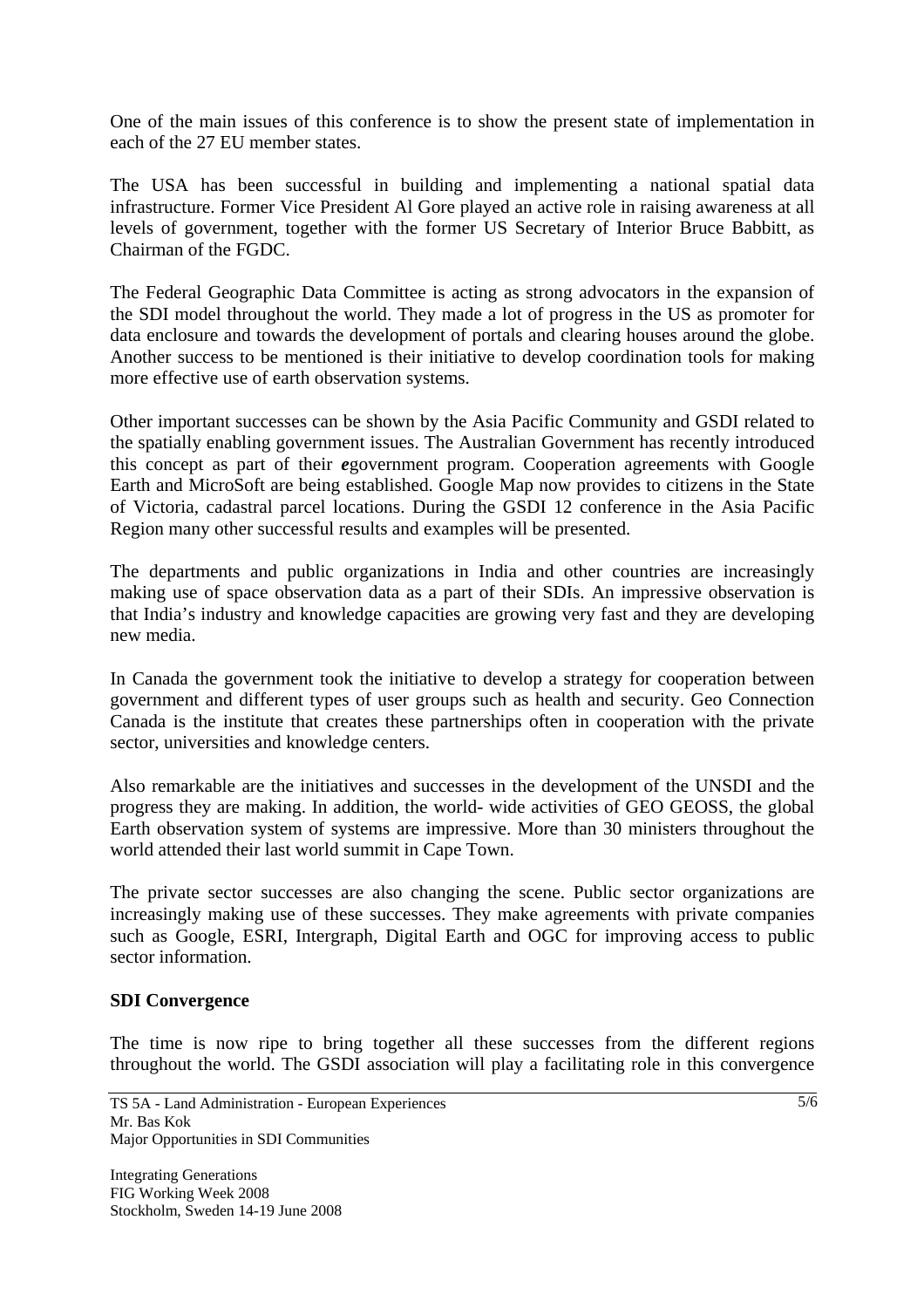One of the main issues of this conference is to show the present state of implementation in each of the 27 EU member states.

The USA has been successful in building and implementing a national spatial data infrastructure. Former Vice President Al Gore played an active role in raising awareness at all levels of government, together with the former US Secretary of Interior Bruce Babbitt, as Chairman of the FGDC.

The Federal Geographic Data Committee is acting as strong advocators in the expansion of the SDI model throughout the world. They made a lot of progress in the US as promoter for data enclosure and towards the development of portals and clearing houses around the globe. Another success to be mentioned is their initiative to develop coordination tools for making more effective use of earth observation systems.

Other important successes can be shown by the Asia Pacific Community and GSDI related to the spatially enabling government issues. The Australian Government has recently introduced this concept as part of their *e*government program. Cooperation agreements with Google Earth and MicroSoft are being established. Google Map now provides to citizens in the State of Victoria, cadastral parcel locations. During the GSDI 12 conference in the Asia Pacific Region many other successful results and examples will be presented.

The departments and public organizations in India and other countries are increasingly making use of space observation data as a part of their SDIs. An impressive observation is that India's industry and knowledge capacities are growing very fast and they are developing new media.

In Canada the government took the initiative to develop a strategy for cooperation between government and different types of user groups such as health and security. Geo Connection Canada is the institute that creates these partnerships often in cooperation with the private sector, universities and knowledge centers.

Also remarkable are the initiatives and successes in the development of the UNSDI and the progress they are making. In addition, the world- wide activities of GEO GEOSS, the global Earth observation system of systems are impressive. More than 30 ministers throughout the world attended their last world summit in Cape Town.

The private sector successes are also changing the scene. Public sector organizations are increasingly making use of these successes. They make agreements with private companies such as Google, ESRI, Intergraph, Digital Earth and OGC for improving access to public sector information.

## **SDI Convergence**

The time is now ripe to bring together all these successes from the different regions throughout the world. The GSDI association will play a facilitating role in this convergence